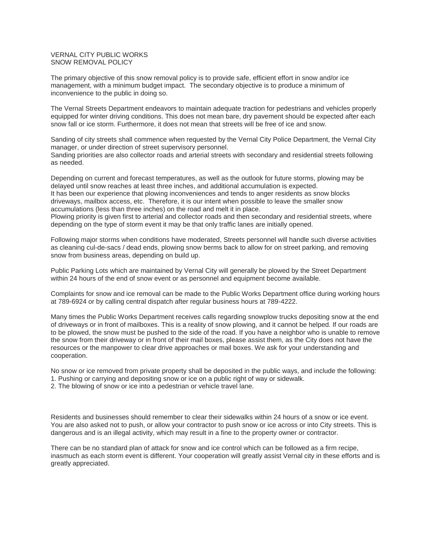## VERNAL CITY PUBLIC WORKS SNOW REMOVAL POLICY

The primary objective of this snow removal policy is to provide safe, efficient effort in snow and/or ice management, with a minimum budget impact. The secondary objective is to produce a minimum of inconvenience to the public in doing so.

The Vernal Streets Department endeavors to maintain adequate traction for pedestrians and vehicles properly equipped for winter driving conditions. This does not mean bare, dry pavement should be expected after each snow fall or ice storm. Furthermore, it does not mean that streets will be free of ice and snow.

Sanding of city streets shall commence when requested by the Vernal City Police Department, the Vernal City manager, or under direction of street supervisory personnel.

Sanding priorities are also collector roads and arterial streets with secondary and residential streets following as needed.

Depending on current and forecast temperatures, as well as the outlook for future storms, plowing may be delayed until snow reaches at least three inches, and additional accumulation is expected. It has been our experience that plowing inconveniences and tends to anger residents as snow blocks driveways, mailbox access, etc. Therefore, it is our intent when possible to leave the smaller snow accumulations (less than three inches) on the road and melt it in place.

Plowing priority is given first to arterial and collector roads and then secondary and residential streets, where depending on the type of storm event it may be that only traffic lanes are initially opened.

Following major storms when conditions have moderated, Streets personnel will handle such diverse activities as cleaning cul-de-sacs / dead ends, plowing snow berms back to allow for on street parking, and removing snow from business areas, depending on build up.

Public Parking Lots which are maintained by Vernal City will generally be plowed by the Street Department within 24 hours of the end of snow event or as personnel and equipment become available.

Complaints for snow and ice removal can be made to the Public Works Department office during working hours at 789-6924 or by calling central dispatch after regular business hours at 789-4222.

Many times the Public Works Department receives calls regarding snowplow trucks depositing snow at the end of driveways or in front of mailboxes. This is a reality of snow plowing, and it cannot be helped. If our roads are to be plowed, the snow must be pushed to the side of the road. If you have a neighbor who is unable to remove the snow from their driveway or in front of their mail boxes, please assist them, as the City does not have the resources or the manpower to clear drive approaches or mail boxes. We ask for your understanding and cooperation.

No snow or ice removed from private property shall be deposited in the public ways, and include the following: 1. Pushing or carrying and depositing snow or ice on a public right of way or sidewalk.

2. The blowing of snow or ice into a pedestrian or vehicle travel lane.

Residents and businesses should remember to clear their sidewalks within 24 hours of a snow or ice event. You are also asked not to push, or allow your contractor to push snow or ice across or into City streets. This is dangerous and is an illegal activity, which may result in a fine to the property owner or contractor.

There can be no standard plan of attack for snow and ice control which can be followed as a firm recipe, inasmuch as each storm event is different. Your cooperation will greatly assist Vernal city in these efforts and is greatly appreciated.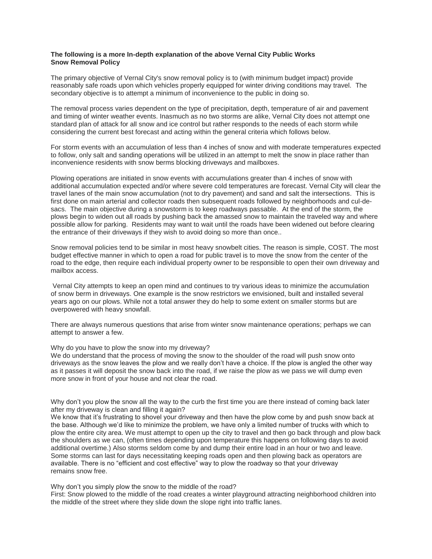# **The following is a more In-depth explanation of the above Vernal City Public Works Snow Removal Policy**

The primary objective of Vernal City's snow removal policy is to (with minimum budget impact) provide reasonably safe roads upon which vehicles properly equipped for winter driving conditions may travel. The secondary objective is to attempt a minimum of inconvenience to the public in doing so.

The removal process varies dependent on the type of precipitation, depth, temperature of air and pavement and timing of winter weather events. Inasmuch as no two storms are alike, Vernal City does not attempt one standard plan of attack for all snow and ice control but rather responds to the needs of each storm while considering the current best forecast and acting within the general criteria which follows below.

For storm events with an accumulation of less than 4 inches of snow and with moderate temperatures expected to follow, only salt and sanding operations will be utilized in an attempt to melt the snow in place rather than inconvenience residents with snow berms blocking driveways and mailboxes.

Plowing operations are initiated in snow events with accumulations greater than 4 inches of snow with additional accumulation expected and/or where severe cold temperatures are forecast. Vernal City will clear the travel lanes of the main snow accumulation (not to dry pavement) and sand and salt the intersections. This is first done on main arterial and collector roads then subsequent roads followed by neighborhoods and cul-desacs. The main objective during a snowstorm is to keep roadways passable. At the end of the storm, the plows begin to widen out all roads by pushing back the amassed snow to maintain the traveled way and where possible allow for parking. Residents may want to wait until the roads have been widened out before clearing the entrance of their driveways if they wish to avoid doing so more than once..

Snow removal policies tend to be similar in most heavy snowbelt cities. The reason is simple, COST. The most budget effective manner in which to open a road for public travel is to move the snow from the center of the road to the edge, then require each individual property owner to be responsible to open their own driveway and mailbox access.

Vernal City attempts to keep an open mind and continues to try various ideas to minimize the accumulation of snow berm in driveways. One example is the snow restrictors we envisioned, built and installed several years ago on our plows. While not a total answer they do help to some extent on smaller storms but are overpowered with heavy snowfall.

There are always numerous questions that arise from winter snow maintenance operations; perhaps we can attempt to answer a few.

## Why do you have to plow the snow into my driveway?

We do understand that the process of moving the snow to the shoulder of the road will push snow onto driveways as the snow leaves the plow and we really don't have a choice. If the plow is angled the other way as it passes it will deposit the snow back into the road, if we raise the plow as we pass we will dump even more snow in front of your house and not clear the road.

Why don't you plow the snow all the way to the curb the first time you are there instead of coming back later after my driveway is clean and filling it again?

We know that it's frustrating to shovel your driveway and then have the plow come by and push snow back at the base. Although we'd like to minimize the problem, we have only a limited number of trucks with which to plow the entire city area. We must attempt to open up the city to travel and then go back through and plow back the shoulders as we can, (often times depending upon temperature this happens on following days to avoid additional overtime.) Also storms seldom come by and dump their entire load in an hour or two and leave. Some storms can last for days necessitating keeping roads open and then plowing back as operators are available. There is no "efficient and cost effective" way to plow the roadway so that your driveway remains snow free.

Why don't you simply plow the snow to the middle of the road?

First: Snow plowed to the middle of the road creates a winter playground attracting neighborhood children into the middle of the street where they slide down the slope right into traffic lanes.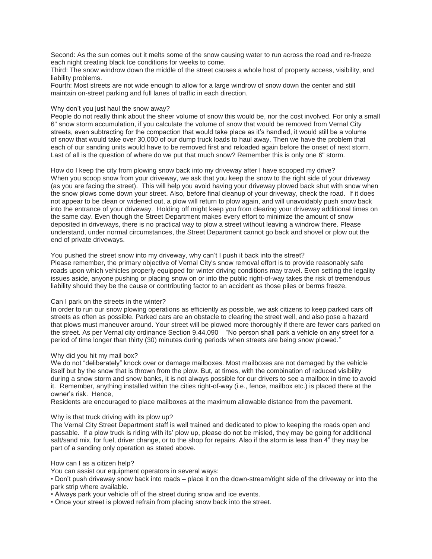Second: As the sun comes out it melts some of the snow causing water to run across the road and re-freeze each night creating black Ice conditions for weeks to come.

Third: The snow windrow down the middle of the street causes a whole host of property access, visibility, and liability problems.

Fourth: Most streets are not wide enough to allow for a large windrow of snow down the center and still maintain on-street parking and full lanes of traffic in each direction.

## Why don't you just haul the snow away?

People do not really think about the sheer volume of snow this would be, nor the cost involved. For only a small 6" snow storm accumulation, if you calculate the volume of snow that would be removed from Vernal City streets, even subtracting for the compaction that would take place as it's handled, it would still be a volume of snow that would take over 30,000 of our dump truck loads to haul away. Then we have the problem that each of our sanding units would have to be removed first and reloaded again before the onset of next storm. Last of all is the question of where do we put that much snow? Remember this is only one 6" storm.

How do I keep the city from plowing snow back into my driveway after I have scooped my drive? When you scoop snow from your driveway, we ask that you keep the snow to the right side of your driveway (as you are facing the street). This will help you avoid having your driveway plowed back shut with snow when the snow plows come down your street. Also, before final cleanup of your driveway, check the road. If it does not appear to be clean or widened out, a plow will return to plow again, and will unavoidably push snow back into the entrance of your driveway. Holding off might keep you from clearing your driveway additional times on the same day. Even though the Street Department makes every effort to minimize the amount of snow deposited in driveways, there is no practical way to plow a street without leaving a windrow there. Please understand, under normal circumstances, the Street Department cannot go back and shovel or plow out the end of private driveways.

# You pushed the street snow into my driveway, why can't I push it back into the street?

Please remember, the primary objective of Vernal City's snow removal effort is to provide reasonably safe roads upon which vehicles properly equipped for winter driving conditions may travel. Even setting the legality issues aside, anyone pushing or placing snow on or into the public right-of-way takes the risk of tremendous liability should they be the cause or contributing factor to an accident as those piles or berms freeze.

#### Can I park on the streets in the winter?

In order to run our snow plowing operations as efficiently as possible, we ask citizens to keep parked cars off streets as often as possible. Parked cars are an obstacle to clearing the street well, and also pose a hazard that plows must maneuver around. Your street will be plowed more thoroughly if there are fewer cars parked on the street. As per Vernal city ordinance Section 9.44.090 "No person shall park a vehicle on any street for a period of time longer than thirty (30) minutes during periods when streets are being snow plowed."

#### Why did you hit my mail box?

We do not "deliberately" knock over or damage mailboxes. Most mailboxes are not damaged by the vehicle itself but by the snow that is thrown from the plow. But, at times, with the combination of reduced visibility during a snow storm and snow banks, it is not always possible for our drivers to see a mailbox in time to avoid it. Remember, anything installed within the cities right-of-way (i.e., fence, mailbox etc.) is placed there at the owner's risk. Hence,

Residents are encouraged to place mailboxes at the maximum allowable distance from the pavement.

### Why is that truck driving with its plow up?

The Vernal City Street Department staff is well trained and dedicated to plow to keeping the roads open and passable. If a plow truck is riding with its' plow up, please do not be misled, they may be going for additional salt/sand mix, for fuel, driver change, or to the shop for repairs. Also if the storm is less than 4" they may be part of a sanding only operation as stated above.

#### How can I as a citizen help?

You can assist our equipment operators in several ways:

• Don't push driveway snow back into roads – place it on the down-stream/right side of the driveway or into the park strip where available.

• Always park your vehicle off of the street during snow and ice events.

• Once your street is plowed refrain from placing snow back into the street.